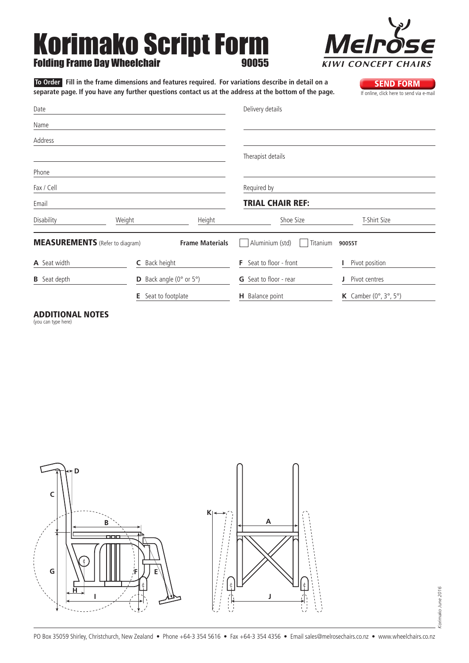# Korimako Script Form **Folding Frame Day Wheelchair**



**To Order** Fill in the frame dimensions and features required. For variations describe in detail on a<br>**SEND FORM** separate page. If you have any further questions contact us at the address at the bottom of the page. separate page. If you have any further questions contact us at the address at the bottom of the page.

**A** Seat width **B** Seat depth **C** Back height **D** Back angle (0° or 5°) **E** Seat to footplate **F** Seat to floor - front **G** Seat to floor - rear **H** Balance point **I** Pivot position **J** Pivot centres **K** Camber (0°, 3°, 5°) MEASUREMENTS (Refer to diagram) Date Name Address Phone Fax / Cell Email Delivery details Therapist details Required by Trial Chair Ref: Disability Weight Height Shoe Size T-Shirt Size **Frame Materials** Aluminium (std) Titanium **90055T** 

### Additional Notes

(you can type here)

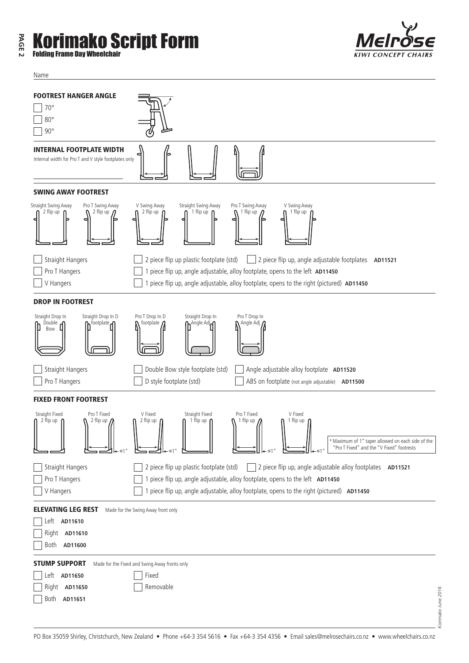### **PAGE 2** mako Script Form Folding Frame Day Wheelchair

Name



#### FOOTREST HANGER ANGLE 70° 80° 90° INTERNAL FOOTPLATE WIDTH Internal width for Pro T and V style footplates only SWING AWAY FOOTREST Straight Swing Away Pro T Swing Away V Swing Away Straight Swing Away Pro T Swing Away V Swing Away 1 flip up 1 flip up 2 flip up 2 flip up 2 flip up flip up Straight Hangers 2 piece flip up plastic footplate (std) 2 piece flip up, angle adjustable footplates **AD11521** Pro T Hangers 1 piece flip up, angle adjustable, alloy footplate, opens to the left **AD11450** V Hangers 1 piece flip up, angle adjustable, alloy footplate, opens to the right (pictured) **AD11450** DROP IN FOOTREST Straight Drop In Straight Drop In D Pro T Drop In D Straight Drop In Pro T Drop In footplate  $\mathbf{\Omega}$ Double m<sup>footplate</sup>m m<sup>Angle Adj</sup>n Angle Adj 0 ſh ſ Bow Straight Hangers **Company** Double Bow style footplate (std) Angle adjustable alloy footplate **AD11520** Pro T Hangers **D** Style footplate (std) ABS on footplate (not angle adjustable) **AD11500** FIXED FRONT FOOTREST Straight Fixed Pro T Fixed V Fixed Pro T Fixed V Fixed Straight Fixed 2 flip up 2 flip up 2 flip up 1 flip up ( 1 flip up 1 flip up "Pro T Fixed" and the "V Fixed" footrests \*Maximum of 1" taper allowed on each side of the ≤1" ≤1" ≤1" ≤1" Straight Hangers 2 piece flip up plastic footplate (std) 2 piece flip up, angle adjustable alloy footplates **AD11521** Pro T Hangers **1 piece flip up, angle adjustable, alloy footplate, opens to the left AD11450** V Hangers 1 piece flip up, angle adjustable, alloy footplate, opens to the right (pictured) **AD11450** ELEVATING LEG REST Made for the Swing Away front only Left **AD11610** Right **AD11610** Both **AD11600** STUMP SUPPORT Made for the Fixed and Swing Away fronts only Left **AD11650** Fixed Right **AD11650** Removable Both **AD11651**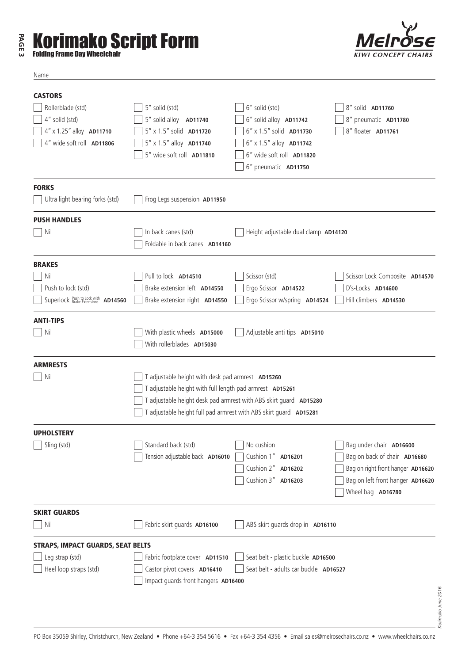## **PAGE 3 Korimako Script Form**



Name



| <b>CASTORS</b>                                                  |                                                                                                                                                                                                                                                         |                                       |                                   |  |  |
|-----------------------------------------------------------------|---------------------------------------------------------------------------------------------------------------------------------------------------------------------------------------------------------------------------------------------------------|---------------------------------------|-----------------------------------|--|--|
| Rollerblade (std)                                               | 5" solid (std)                                                                                                                                                                                                                                          | 6" solid (std)                        | 8" solid AD11760                  |  |  |
| 4" solid (std)                                                  | 5" solid alloy AD11740                                                                                                                                                                                                                                  | 6" solid alloy AD11742                | 8" pneumatic AD11780              |  |  |
| 4" x 1.25" alloy AD11710                                        | 5" x 1.5" solid AD11720                                                                                                                                                                                                                                 | 6" x 1.5" solid AD11730               | 8" floater AD11761                |  |  |
| 4" wide soft roll AD11806                                       | 5" x 1.5" alloy AD11740                                                                                                                                                                                                                                 | 6" x 1.5" alloy AD11742               |                                   |  |  |
|                                                                 | 5" wide soft roll AD11810                                                                                                                                                                                                                               | 6" wide soft roll AD11820             |                                   |  |  |
|                                                                 |                                                                                                                                                                                                                                                         | 6" pneumatic AD11750                  |                                   |  |  |
| <b>FORKS</b>                                                    |                                                                                                                                                                                                                                                         |                                       |                                   |  |  |
| Ultra light bearing forks (std)                                 | Frog Legs suspension AD11950                                                                                                                                                                                                                            |                                       |                                   |  |  |
| <b>PUSH HANDLES</b>                                             |                                                                                                                                                                                                                                                         |                                       |                                   |  |  |
| Nil                                                             | In back canes (std)<br>Foldable in back canes AD14160                                                                                                                                                                                                   | Height adjustable dual clamp AD14120  |                                   |  |  |
| <b>BRAKES</b>                                                   |                                                                                                                                                                                                                                                         |                                       |                                   |  |  |
|                                                                 | Pull to lock AD14510                                                                                                                                                                                                                                    | Scissor (std)                         | Scissor Lock Composite AD14570    |  |  |
| Nil                                                             | Brake extension left AD14550                                                                                                                                                                                                                            |                                       | D's-Locks AD14600                 |  |  |
| Push to lock (std)<br>Superlock <b>Brake Extensions</b> AD14560 |                                                                                                                                                                                                                                                         | Ergo Scissor AD14522                  | Hill climbers AD14530             |  |  |
|                                                                 | Brake extension right AD14550                                                                                                                                                                                                                           | Ergo Scissor w/spring AD14524         |                                   |  |  |
| <b>ANTI-TIPS</b>                                                |                                                                                                                                                                                                                                                         |                                       |                                   |  |  |
| $\vert$ Nil                                                     | With plastic wheels AD15000                                                                                                                                                                                                                             | Adjustable anti tips AD15010          |                                   |  |  |
|                                                                 | With rollerblades AD15030                                                                                                                                                                                                                               |                                       |                                   |  |  |
| <b>ARMRESTS</b>                                                 |                                                                                                                                                                                                                                                         |                                       |                                   |  |  |
| Nil                                                             | T adjustable height with desk pad armrest AD15260<br>T adjustable height with full length pad armrest AD15261<br>T adjustable height desk pad armrest with ABS skirt guard AD15280<br>T adjustable height full pad armrest with ABS skirt guard AD15281 |                                       |                                   |  |  |
|                                                                 |                                                                                                                                                                                                                                                         |                                       |                                   |  |  |
|                                                                 |                                                                                                                                                                                                                                                         |                                       |                                   |  |  |
|                                                                 |                                                                                                                                                                                                                                                         |                                       |                                   |  |  |
| <b>UPHOLSTERY</b>                                               |                                                                                                                                                                                                                                                         |                                       |                                   |  |  |
| $\Box$ Sling (std)                                              | Standard back (std)                                                                                                                                                                                                                                     | $\Box$ No cushion                     | Bag under chair AD16600           |  |  |
|                                                                 | Tension adjustable back AD16010                                                                                                                                                                                                                         | Cushion 1" AD16201                    | Bag on back of chair AD16680      |  |  |
|                                                                 |                                                                                                                                                                                                                                                         | Cushion 2" AD16202                    | Bag on right front hanger AD16620 |  |  |
|                                                                 |                                                                                                                                                                                                                                                         | Cushion 3" AD16203                    | Bag on left front hanger AD16620  |  |  |
|                                                                 |                                                                                                                                                                                                                                                         |                                       | Wheel bag AD16780                 |  |  |
| <b>SKIRT GUARDS</b>                                             |                                                                                                                                                                                                                                                         |                                       |                                   |  |  |
| Nil                                                             | Fabric skirt quards AD16100                                                                                                                                                                                                                             | ABS skirt guards drop in AD16110      |                                   |  |  |
| <b>STRAPS, IMPACT GUARDS, SEAT BELTS</b>                        |                                                                                                                                                                                                                                                         |                                       |                                   |  |  |
| Leg strap (std)                                                 | Fabric footplate cover AD11510                                                                                                                                                                                                                          | Seat belt - plastic buckle AD16500    |                                   |  |  |
| Heel loop straps (std)                                          | Castor pivot covers AD16410                                                                                                                                                                                                                             | Seat belt - adults car buckle AD16527 |                                   |  |  |
|                                                                 | Impact guards front hangers AD16400                                                                                                                                                                                                                     |                                       |                                   |  |  |
|                                                                 |                                                                                                                                                                                                                                                         |                                       |                                   |  |  |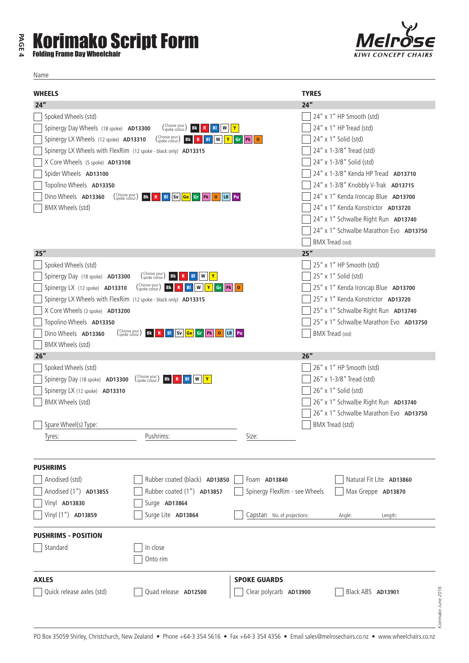## **PAGE 4 Korimako Script Form**

Name

| <b>WHEELS</b>                                                   |                                                                                                    |                                                 | <b>TYRES</b>                           |  |
|-----------------------------------------------------------------|----------------------------------------------------------------------------------------------------|-------------------------------------------------|----------------------------------------|--|
| 24"                                                             |                                                                                                    |                                                 | 24"                                    |  |
| Spoked Wheels (std)                                             |                                                                                                    |                                                 | 24" x 1" HP Smooth (std)               |  |
| Spinergy Day Wheels (18 spoke) AD13300                          | (Choose your<br>W<br>Bk<br>BI                                                                      | $\mathbf{Y}$                                    | 24" x 1" HP Tread (std)                |  |
| Spinergy LX Wheels (12 spoke) AD13310                           | (Choose your)<br><b>Bk</b><br>W<br>Y<br>BI                                                         | P <sub>k</sub><br>Gr<br>$\overline{\mathbf{0}}$ | 24" x 1" Solid (std)                   |  |
| Spinergy LX Wheels with FlexRim (12 spoke - black only) AD13315 |                                                                                                    |                                                 | 24" x 1-3/8" Tread (std)               |  |
| X Core Wheels (5 spoke) AD13108                                 |                                                                                                    |                                                 | 24" x 1-3/8" Solid (std)               |  |
| Spider Wheels AD13100                                           |                                                                                                    |                                                 | 24" x 1-3/8" Kenda HP Tread AD13710    |  |
| Topolino Wheels AD13350                                         |                                                                                                    |                                                 | 24" x 1-3/8" Knobbly V-Trak AD13715    |  |
| Dino Wheels AD13360                                             | (Choose your)<br>(spoke colour)<br><b>Bk</b><br>BI   Sv   Go   Gr   Pk  <br>LB Pu<br>$\circ$<br>-R | 24" x 1" Kenda Ironcap Blue AD13700             |                                        |  |
| BMX Wheels (std)                                                |                                                                                                    |                                                 | 24" x 1" Kenda Konstrictor AD13720     |  |
|                                                                 |                                                                                                    |                                                 | 24" x 1" Schwalbe Right Run AD13740    |  |
|                                                                 |                                                                                                    |                                                 | 24" x 1" Schwalbe Marathon Evo AD13750 |  |
|                                                                 |                                                                                                    |                                                 | <b>BMX Tread (std)</b>                 |  |
| 25"                                                             |                                                                                                    |                                                 | 25"                                    |  |
| Spoked Wheels (std)                                             |                                                                                                    |                                                 | 25" x 1" HP Smooth (std)               |  |
| Spinergy Day (18 spoke) AD13300                                 | (Choose your)<br>(spoke colour)<br>Y<br>Bk                                                         |                                                 | 25" x 1" Solid (std)                   |  |
| Spinergy LX (12 spoke) AD13310                                  | (Choose your)<br><b>Bk</b><br>W<br>Gr<br>B <sub>1</sub><br>R                                       | <b>Pk</b> 0                                     | 25" x 1" Kenda Ironcap Blue AD13700    |  |
| Spinergy LX Wheels with FlexRim (12 spoke - black only) AD13315 |                                                                                                    |                                                 | 25" x 1" Kenda Konstrictor AD13720     |  |
| X Core Wheels (3 spoke) AD13200                                 |                                                                                                    |                                                 | 25" x 1" Schwalbe Right Run AD13740    |  |
| Topolino Wheels AD13350                                         |                                                                                                    |                                                 | 25" x 1" Schwalbe Marathon Evo AD13750 |  |
| Dino Wheels AD13360                                             | (Choose your)<br><b>BI</b> Sv Go Gr Pk<br>Bk<br>$\mathbf 0$<br>$\mathbf{R}$                        | LB Pu                                           | BMX Tread (std)                        |  |
| BMX Wheels (std)<br>26"                                         |                                                                                                    |                                                 | 26"                                    |  |
| Spoked Wheels (std)                                             |                                                                                                    |                                                 | 26" x 1" HP Smooth (std)               |  |
| Spinergy Day (18 spoke) AD13300                                 | (Choose your)<br>spoke colour<br><b>Bk</b><br>BI                                                   |                                                 | 26" x 1-3/8" Tread (std)               |  |
| Spinergy LX (12 spoke) AD13310                                  |                                                                                                    |                                                 | 26" x 1" Solid (std)                   |  |
| BMX Wheels (std)                                                |                                                                                                    |                                                 | 26" x 1" Schwalbe Right Run AD13740    |  |
|                                                                 |                                                                                                    |                                                 | 26" x 1" Schwalbe Marathon Evo AD13750 |  |
| Spare Wheel(s) Type:                                            |                                                                                                    |                                                 | BMX Tread (std)                        |  |
| Tyres:                                                          | Pushrims:                                                                                          | Size:                                           |                                        |  |
|                                                                 |                                                                                                    |                                                 |                                        |  |
| <b>PUSHRIMS</b>                                                 |                                                                                                    |                                                 |                                        |  |
| Anodised (std)                                                  | Rubber coated (black) AD13850                                                                      | Foam AD13840                                    | Natural Fit Lite AD13860               |  |
| Anodised (1") AD13855                                           | Rubber coated (1") AD13857                                                                         | Spinergy FlexRim - see Wheels                   | Max Greppe AD13870                     |  |
| Vinyl AD13830                                                   | Surge AD13864                                                                                      |                                                 |                                        |  |
| Vinyl (1") AD13859                                              | Surge Lite AD13864                                                                                 | Capstan No. of projections:                     | Angle:<br>Length:                      |  |
|                                                                 |                                                                                                    |                                                 |                                        |  |
| <b>PUSHRIMS - POSITION</b>                                      |                                                                                                    |                                                 |                                        |  |
| Standard                                                        | In close                                                                                           |                                                 |                                        |  |
|                                                                 | Onto rim                                                                                           |                                                 |                                        |  |
| <b>AXLES</b>                                                    |                                                                                                    | <b>SPOKE GUARDS</b>                             |                                        |  |
| Quick release axles (std)                                       | Quad release AD12500                                                                               | Clear polycarb AD13900                          | Black ABS AD13901                      |  |
|                                                                 |                                                                                                    |                                                 |                                        |  |
|                                                                 |                                                                                                    |                                                 | Korimako June 2016                     |  |
|                                                                 |                                                                                                    |                                                 |                                        |  |